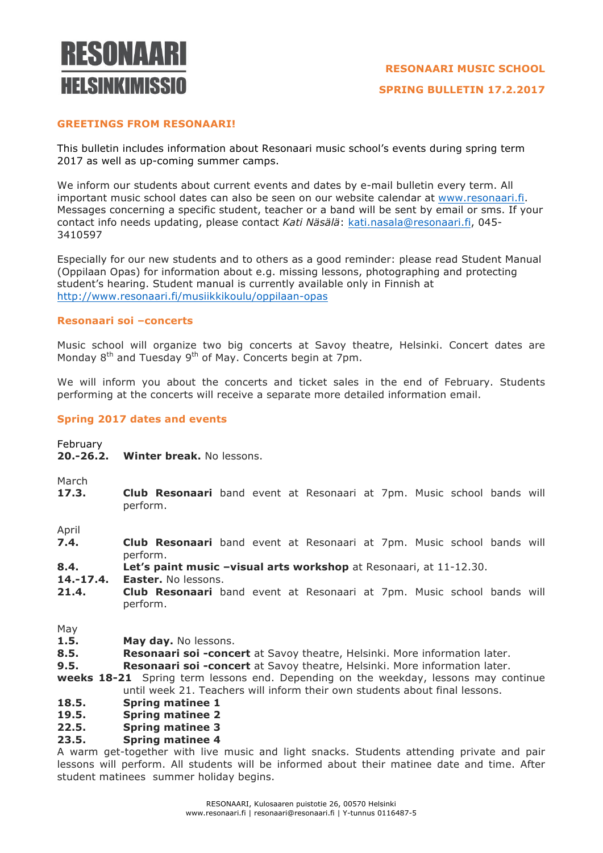# **RESONAARI HEI SINKIMISSIN**

# **GREETINGS FROM RESONAARI!**

This bulletin includes information about Resonaari music school's events during spring term 2017 as well as up-coming summer camps.

We inform our students about current events and dates by e-mail bulletin every term. All important music school dates can also be seen on our website calendar at www.resonaari.fi. Messages concerning a specific student, teacher or a band will be sent by email or sms. If your contact info needs updating, please contact *Kati Näsälä*: kati.nasala@resonaari.fi, 045- 3410597

Especially for our new students and to others as a good reminder: please read Student Manual (Oppilaan Opas) for information about e.g. missing lessons, photographing and protecting student's hearing. Student manual is currently available only in Finnish at http://www.resonaari.fi/musiikkikoulu/oppilaan-opas

## **Resonaari soi –concerts**

Music school will organize two big concerts at Savoy theatre, Helsinki. Concert dates are Monday 8<sup>th</sup> and Tuesday 9<sup>th</sup> of May. Concerts begin at 7pm.

We will inform you about the concerts and ticket sales in the end of February. Students performing at the concerts will receive a separate more detailed information email.

## **Spring 2017 dates and events**

February

**20.-26.2. Winter break.** No lessons.

March

**17.3. Club Resonaari** band event at Resonaari at 7pm. Music school bands will perform.

April

- **7.4. Club Resonaari** band event at Resonaari at 7pm. Music school bands will perform.
- **8.4. Let's paint music –visual arts workshop** at Resonaari, at 11-12.30.

**14.-17.4. Easter.** No lessons.

**21.4. Club Resonaari** band event at Resonaari at 7pm. Music school bands will perform.

May

- **1.5. May day.** No lessons.
- **8.5. Resonaari soi -concert** at Savoy theatre, Helsinki. More information later.

**9.5. Resonaari soi -concert** at Savoy theatre, Helsinki. More information later.

**weeks 18-21** Spring term lessons end. Depending on the weekday, lessons may continue until week 21. Teachers will inform their own students about final lessons.

- **18.5. Spring matinee 1**
- **19.5. Spring matinee 2**
- **22.5. Spring matinee 3**

# **23.5. Spring matinee 4**

A warm get-together with live music and light snacks. Students attending private and pair lessons will perform. All students will be informed about their matinee date and time. After student matinees summer holiday begins.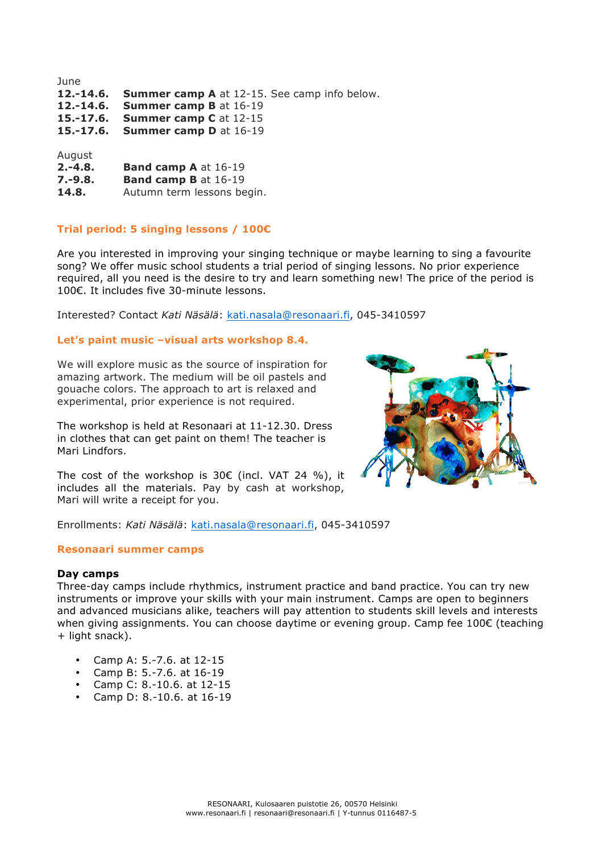| <b>Summer camp A</b> at 12-15. See camp info below. |
|-----------------------------------------------------|
| <b>Summer camp B at 16-19</b>                       |
| <b>Summer camp C</b> at 12-15                       |
| <b>Summer camp D</b> at 16-19                       |
|                                                     |
|                                                     |
| <b>Band camp A at 16-19</b>                         |
| <b>Band camp B</b> at 16-19                         |
|                                                     |

14.8. Autumn term lessons begin.

## **Trial period: 5 singing lessons / 100€**

Are you interested in improving your singing technique or maybe learning to sing a favourite song? We offer music school students a trial period of singing lessons. No prior experience required, all you need is the desire to try and learn something new! The price of the period is 100€. It includes five 30-minute lessons.

Interested? Contact *Kati Näsälä*: kati.nasala@resonaari.fi, 045-3410597

## **Let's paint music –visual arts workshop 8.4.**

We will explore music as the source of inspiration for amazing artwork. The medium will be oil pastels and gouache colors. The approach to art is relaxed and experimental, prior experience is not required.

The workshop is held at Resonaari at 11-12.30. Dress in clothes that can get paint on them! The teacher is Mari Lindfors.



The cost of the workshop is 30 $\epsilon$  (incl. VAT 24 %), it includes all the materials. Pay by cash at workshop, Mari will write a receipt for you.

Enrollments: *Kati Näsälä*: kati.nasala@resonaari.fi, 045-3410597

## **Resonaari summer camps**

## **Day camps**

Three-day camps include rhythmics, instrument practice and band practice. You can try new instruments or improve your skills with your main instrument. Camps are open to beginners and advanced musicians alike, teachers will pay attention to students skill levels and interests when giving assignments. You can choose daytime or evening group. Camp fee 100€ (teaching + light snack).

- Camp A: 5.-7.6. at 12-15
- Camp B: 5.-7.6. at 16-19
- Camp C: 8.-10.6. at 12-15
- Camp D: 8.-10.6. at 16-19